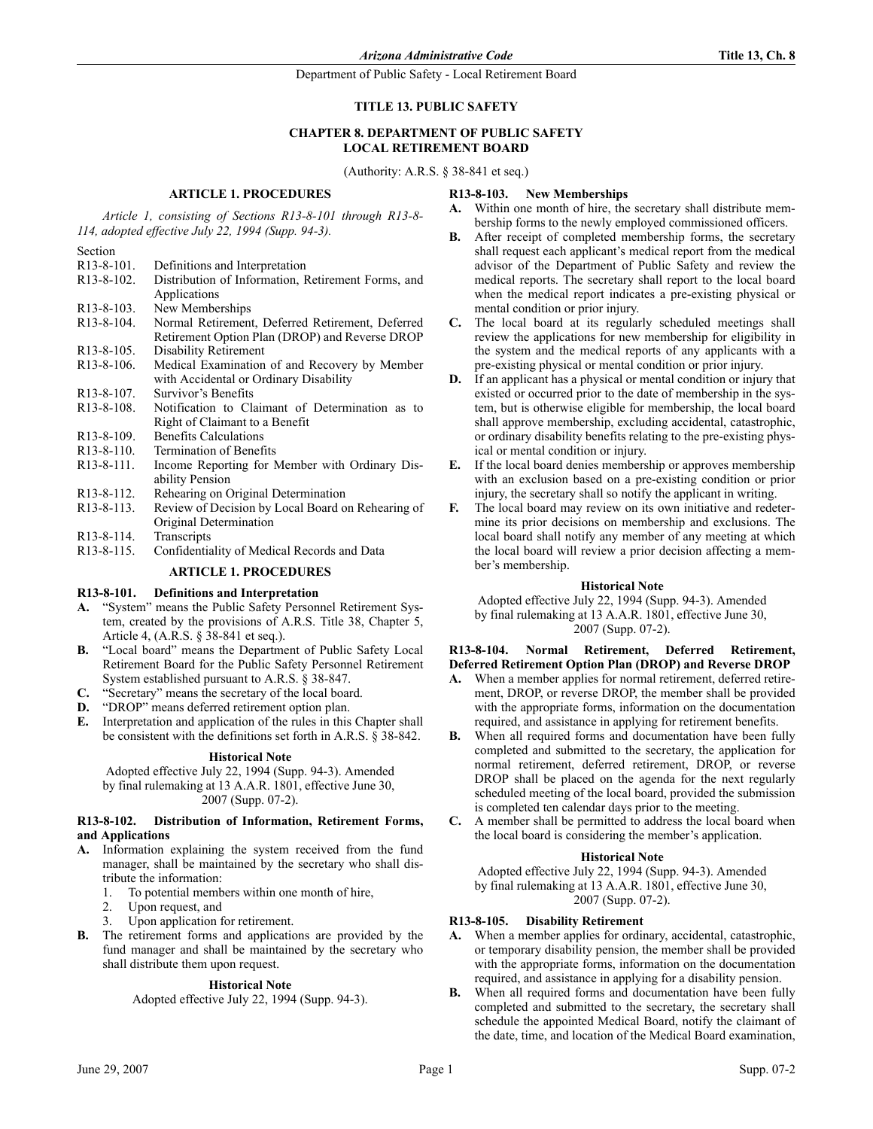# **TITLE 13. PUBLIC SAFETY**

# **CHAPTER 8. DEPARTMENT OF PUBLIC SAFETY LOCAL RETIREMENT BOARD**

(Authority: A.R.S. § 38-841 et seq.)

### **ARTICLE 1. PROCEDURES**

*Article 1, consisting of Sections R13-8-101 through R13-8- 114, adopted effective July 22, 1994 (Supp. 94-3).*

Section

| R <sub>13</sub> -8-101. | Definitions and Interpretation                     |
|-------------------------|----------------------------------------------------|
| R <sub>13</sub> -8-102. | Distribution of Information, Retirement Forms, and |
|                         | Applications                                       |
| R <sub>13</sub> -8-103. | New Memberships                                    |
| R <sub>13</sub> -8-104. | Normal Retirement, Deferred Retirement, Deferred   |
|                         | Retirement Option Plan (DROP) and Reverse DROP     |
| R <sub>13</sub> -8-105. | Disability Retirement                              |
| R <sub>13</sub> -8-106. | Medical Examination of and Recovery by Member      |
|                         | with Accidental or Ordinary Disability             |
| R <sub>13</sub> -8-107. | Survivor's Benefits                                |
| R <sub>13</sub> -8-108. | Notification to Claimant of Determination as to    |
|                         | Right of Claimant to a Benefit                     |
| R <sub>13</sub> -8-109. | <b>Benefits Calculations</b>                       |
| R <sub>13</sub> -8-110. | Termination of Benefits                            |
| R <sub>13</sub> -8-111. | Income Reporting for Member with Ordinary Dis-     |
|                         | ability Pension                                    |
| R <sub>13</sub> -8-112. | Rehearing on Original Determination                |
| R <sub>13</sub> -8-113. | Review of Decision by Local Board on Rehearing of  |
|                         | Original Determination                             |
| R <sub>13</sub> -8-114. | Transcripts                                        |
| D120115                 |                                                    |

R13-8-115. Confidentiality of Medical Records and Data

# **ARTICLE 1. PROCEDURES**

### **R13-8-101. Definitions and Interpretation**

- **A.** "System" means the Public Safety Personnel Retirement System, created by the provisions of A.R.S. Title 38, Chapter 5, Article 4, (A.R.S. § 38-841 et seq.).
- **B.** "Local board" means the Department of Public Safety Local Retirement Board for the Public Safety Personnel Retirement System established pursuant to A.R.S. § 38-847.
- **C.** "Secretary" means the secretary of the local board.
- **D.** "DROP" means deferred retirement option plan.
- **E.** Interpretation and application of the rules in this Chapter shall be consistent with the definitions set forth in A.R.S. § 38-842.

#### **Historical Note**

Adopted effective July 22, 1994 (Supp. 94-3). Amended by final rulemaking at 13 A.A.R. 1801, effective June 30, 2007 (Supp. 07-2).

### **R13-8-102. Distribution of Information, Retirement Forms, and Applications**

- **A.** Information explaining the system received from the fund manager, shall be maintained by the secretary who shall distribute the information:
	- 1. To potential members within one month of hire,
	- 2. Upon request, and
	- Upon application for retirement.
- **B.** The retirement forms and applications are provided by the fund manager and shall be maintained by the secretary who shall distribute them upon request.

### **Historical Note**

Adopted effective July 22, 1994 (Supp. 94-3).

### **R13-8-103. New Memberships**

- **A.** Within one month of hire, the secretary shall distribute membership forms to the newly employed commissioned officers.
- After receipt of completed membership forms, the secretary shall request each applicant's medical report from the medical advisor of the Department of Public Safety and review the medical reports. The secretary shall report to the local board when the medical report indicates a pre-existing physical or mental condition or prior injury.
- **C.** The local board at its regularly scheduled meetings shall review the applications for new membership for eligibility in the system and the medical reports of any applicants with a pre-existing physical or mental condition or prior injury.
- **D.** If an applicant has a physical or mental condition or injury that existed or occurred prior to the date of membership in the system, but is otherwise eligible for membership, the local board shall approve membership, excluding accidental, catastrophic, or ordinary disability benefits relating to the pre-existing physical or mental condition or injury.
- **E.** If the local board denies membership or approves membership with an exclusion based on a pre-existing condition or prior injury, the secretary shall so notify the applicant in writing.
- **F.** The local board may review on its own initiative and redetermine its prior decisions on membership and exclusions. The local board shall notify any member of any meeting at which the local board will review a prior decision affecting a member's membership.

#### **Historical Note**

Adopted effective July 22, 1994 (Supp. 94-3). Amended by final rulemaking at 13 A.A.R. 1801, effective June 30, 2007 (Supp. 07-2).

#### **R13-8-104. Normal Retirement, Deferred Retirement, Deferred Retirement Option Plan (DROP) and Reverse DROP**

- **A.** When a member applies for normal retirement, deferred retirement, DROP, or reverse DROP, the member shall be provided with the appropriate forms, information on the documentation required, and assistance in applying for retirement benefits.
- **B.** When all required forms and documentation have been fully completed and submitted to the secretary, the application for normal retirement, deferred retirement, DROP, or reverse DROP shall be placed on the agenda for the next regularly scheduled meeting of the local board, provided the submission is completed ten calendar days prior to the meeting.
- **C.** A member shall be permitted to address the local board when the local board is considering the member's application.

### **Historical Note**

Adopted effective July 22, 1994 (Supp. 94-3). Amended by final rulemaking at 13 A.A.R. 1801, effective June 30, 2007 (Supp. 07-2).

### **R13-8-105. Disability Retirement**

- **A.** When a member applies for ordinary, accidental, catastrophic, or temporary disability pension, the member shall be provided with the appropriate forms, information on the documentation required, and assistance in applying for a disability pension.
- **B.** When all required forms and documentation have been fully completed and submitted to the secretary, the secretary shall schedule the appointed Medical Board, notify the claimant of the date, time, and location of the Medical Board examination,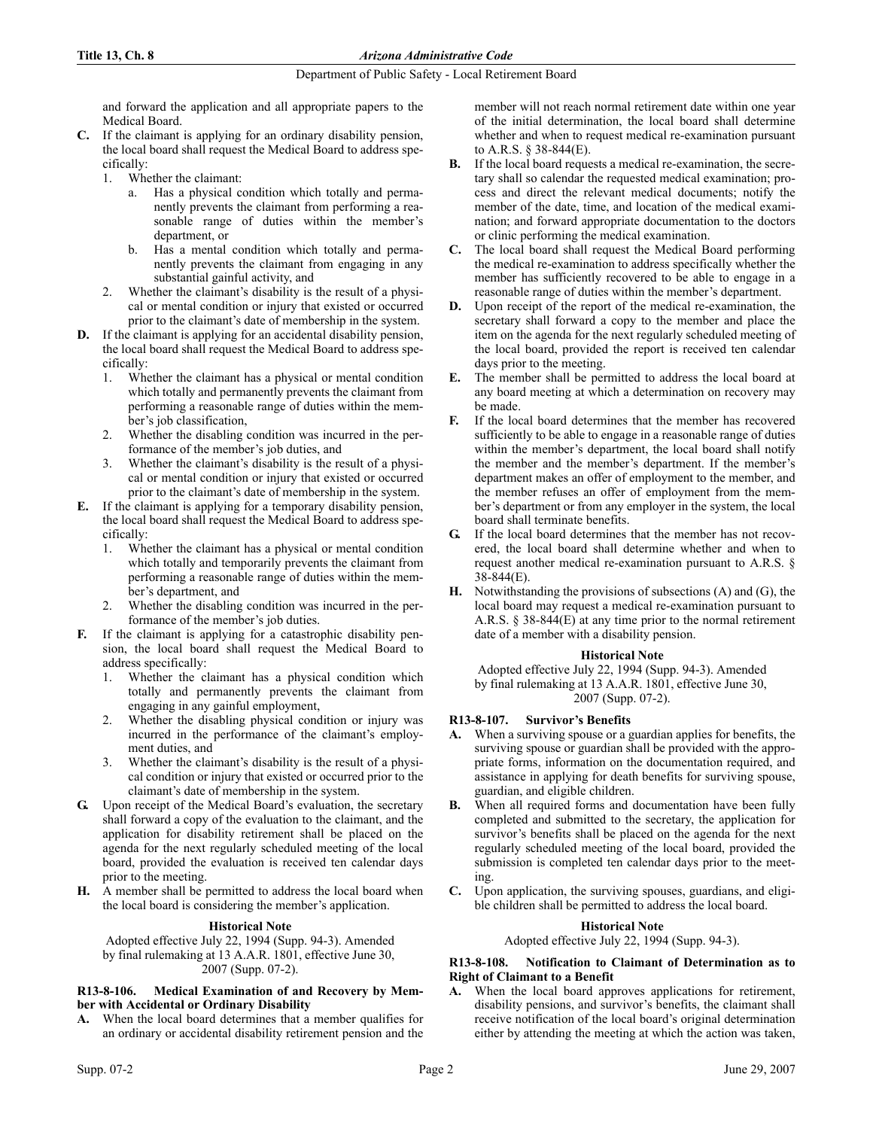and forward the application and all appropriate papers to the Medical Board.

- **C.** If the claimant is applying for an ordinary disability pension, the local board shall request the Medical Board to address specifically:
	- 1. Whether the claimant:
		- a. Has a physical condition which totally and permanently prevents the claimant from performing a reasonable range of duties within the member's department, or
		- b. Has a mental condition which totally and permanently prevents the claimant from engaging in any substantial gainful activity, and
	- 2. Whether the claimant's disability is the result of a physical or mental condition or injury that existed or occurred prior to the claimant's date of membership in the system.
- **D.** If the claimant is applying for an accidental disability pension, the local board shall request the Medical Board to address specifically:
	- 1. Whether the claimant has a physical or mental condition which totally and permanently prevents the claimant from performing a reasonable range of duties within the member's job classification,
	- 2. Whether the disabling condition was incurred in the performance of the member's job duties, and
	- 3. Whether the claimant's disability is the result of a physical or mental condition or injury that existed or occurred prior to the claimant's date of membership in the system.
- **E.** If the claimant is applying for a temporary disability pension, the local board shall request the Medical Board to address specifically:
	- 1. Whether the claimant has a physical or mental condition which totally and temporarily prevents the claimant from performing a reasonable range of duties within the member's department, and
	- Whether the disabling condition was incurred in the performance of the member's job duties.
- **F.** If the claimant is applying for a catastrophic disability pension, the local board shall request the Medical Board to address specifically:
	- 1. Whether the claimant has a physical condition which totally and permanently prevents the claimant from engaging in any gainful employment,
	- 2. Whether the disabling physical condition or injury was incurred in the performance of the claimant's employment duties, and
	- 3. Whether the claimant's disability is the result of a physical condition or injury that existed or occurred prior to the claimant's date of membership in the system.
- **G.** Upon receipt of the Medical Board's evaluation, the secretary shall forward a copy of the evaluation to the claimant, and the application for disability retirement shall be placed on the agenda for the next regularly scheduled meeting of the local board, provided the evaluation is received ten calendar days prior to the meeting.
- **H.** A member shall be permitted to address the local board when the local board is considering the member's application.

### **Historical Note**

Adopted effective July 22, 1994 (Supp. 94-3). Amended by final rulemaking at 13 A.A.R. 1801, effective June 30, 2007 (Supp. 07-2).

### **R13-8-106. Medical Examination of and Recovery by Member with Accidental or Ordinary Disability**

**A.** When the local board determines that a member qualifies for an ordinary or accidental disability retirement pension and the member will not reach normal retirement date within one year of the initial determination, the local board shall determine whether and when to request medical re-examination pursuant to A.R.S. § 38-844(E).

- **B.** If the local board requests a medical re-examination, the secretary shall so calendar the requested medical examination; process and direct the relevant medical documents; notify the member of the date, time, and location of the medical examination; and forward appropriate documentation to the doctors or clinic performing the medical examination.
- **C.** The local board shall request the Medical Board performing the medical re-examination to address specifically whether the member has sufficiently recovered to be able to engage in a reasonable range of duties within the member's department.
- **D.** Upon receipt of the report of the medical re-examination, the secretary shall forward a copy to the member and place the item on the agenda for the next regularly scheduled meeting of the local board, provided the report is received ten calendar days prior to the meeting.
- **E.** The member shall be permitted to address the local board at any board meeting at which a determination on recovery may be made.
- **F.** If the local board determines that the member has recovered sufficiently to be able to engage in a reasonable range of duties within the member's department, the local board shall notify the member and the member's department. If the member's department makes an offer of employment to the member, and the member refuses an offer of employment from the member's department or from any employer in the system, the local board shall terminate benefits.
- **G.** If the local board determines that the member has not recovered, the local board shall determine whether and when to request another medical re-examination pursuant to A.R.S. § 38-844(E).
- **H.** Notwithstanding the provisions of subsections (A) and (G), the local board may request a medical re-examination pursuant to A.R.S. § 38-844(E) at any time prior to the normal retirement date of a member with a disability pension.

### **Historical Note**

Adopted effective July 22, 1994 (Supp. 94-3). Amended by final rulemaking at 13 A.A.R. 1801, effective June 30, 2007 (Supp. 07-2).

# **R13-8-107. Survivor's Benefits**

- **A.** When a surviving spouse or a guardian applies for benefits, the surviving spouse or guardian shall be provided with the appropriate forms, information on the documentation required, and assistance in applying for death benefits for surviving spouse, guardian, and eligible children.
- When all required forms and documentation have been fully completed and submitted to the secretary, the application for survivor's benefits shall be placed on the agenda for the next regularly scheduled meeting of the local board, provided the submission is completed ten calendar days prior to the meeting.
- **C.** Upon application, the surviving spouses, guardians, and eligible children shall be permitted to address the local board.

### **Historical Note**

Adopted effective July 22, 1994 (Supp. 94-3).

### **R13-8-108. Notification to Claimant of Determination as to Right of Claimant to a Benefit**

**A.** When the local board approves applications for retirement, disability pensions, and survivor's benefits, the claimant shall receive notification of the local board's original determination either by attending the meeting at which the action was taken,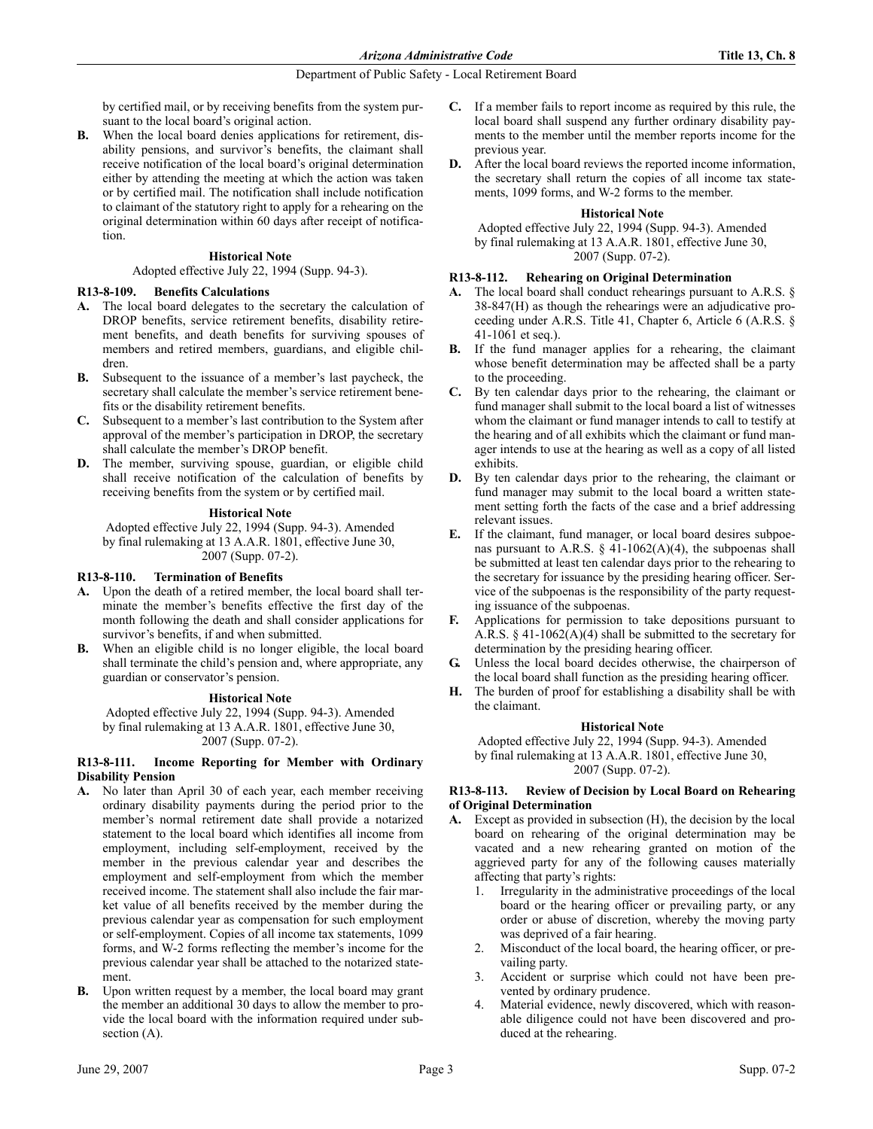by certified mail, or by receiving benefits from the system pursuant to the local board's original action.

**B.** When the local board denies applications for retirement, disability pensions, and survivor's benefits, the claimant shall receive notification of the local board's original determination either by attending the meeting at which the action was taken or by certified mail. The notification shall include notification to claimant of the statutory right to apply for a rehearing on the original determination within 60 days after receipt of notification.

### **Historical Note**

Adopted effective July 22, 1994 (Supp. 94-3).

### **R13-8-109. Benefits Calculations**

- **A.** The local board delegates to the secretary the calculation of DROP benefits, service retirement benefits, disability retirement benefits, and death benefits for surviving spouses of members and retired members, guardians, and eligible children.
- **B.** Subsequent to the issuance of a member's last paycheck, the secretary shall calculate the member's service retirement benefits or the disability retirement benefits.
- **C.** Subsequent to a member's last contribution to the System after approval of the member's participation in DROP, the secretary shall calculate the member's DROP benefit.
- **D.** The member, surviving spouse, guardian, or eligible child shall receive notification of the calculation of benefits by receiving benefits from the system or by certified mail.

### **Historical Note**

Adopted effective July 22, 1994 (Supp. 94-3). Amended by final rulemaking at 13 A.A.R. 1801, effective June 30, 2007 (Supp. 07-2).

### **R13-8-110. Termination of Benefits**

- **A.** Upon the death of a retired member, the local board shall terminate the member's benefits effective the first day of the month following the death and shall consider applications for survivor's benefits, if and when submitted.
- **B.** When an eligible child is no longer eligible, the local board shall terminate the child's pension and, where appropriate, any guardian or conservator's pension.

### **Historical Note**

Adopted effective July 22, 1994 (Supp. 94-3). Amended by final rulemaking at 13 A.A.R. 1801, effective June 30, 2007 (Supp. 07-2).

### **R13-8-111. Income Reporting for Member with Ordinary Disability Pension**

- **A.** No later than April 30 of each year, each member receiving ordinary disability payments during the period prior to the member's normal retirement date shall provide a notarized statement to the local board which identifies all income from employment, including self-employment, received by the member in the previous calendar year and describes the employment and self-employment from which the member received income. The statement shall also include the fair market value of all benefits received by the member during the previous calendar year as compensation for such employment or self-employment. Copies of all income tax statements, 1099 forms, and W-2 forms reflecting the member's income for the previous calendar year shall be attached to the notarized statement.
- **B.** Upon written request by a member, the local board may grant the member an additional 30 days to allow the member to provide the local board with the information required under subsection  $(A)$ .
- **C.** If a member fails to report income as required by this rule, the local board shall suspend any further ordinary disability payments to the member until the member reports income for the previous year.
- **D.** After the local board reviews the reported income information, the secretary shall return the copies of all income tax statements, 1099 forms, and W-2 forms to the member.

### **Historical Note**

Adopted effective July 22, 1994 (Supp. 94-3). Amended by final rulemaking at 13 A.A.R. 1801, effective June 30, 2007 (Supp. 07-2).

### **R13-8-112. Rehearing on Original Determination**

- **A.** The local board shall conduct rehearings pursuant to A.R.S. § 38-847(H) as though the rehearings were an adjudicative proceeding under A.R.S. Title 41, Chapter 6, Article 6 (A.R.S. § 41-1061 et seq.).
- **B.** If the fund manager applies for a rehearing, the claimant whose benefit determination may be affected shall be a party to the proceeding.
- **C.** By ten calendar days prior to the rehearing, the claimant or fund manager shall submit to the local board a list of witnesses whom the claimant or fund manager intends to call to testify at the hearing and of all exhibits which the claimant or fund manager intends to use at the hearing as well as a copy of all listed exhibits.
- **D.** By ten calendar days prior to the rehearing, the claimant or fund manager may submit to the local board a written statement setting forth the facts of the case and a brief addressing relevant issues.
- **E.** If the claimant, fund manager, or local board desires subpoenas pursuant to A.R.S.  $\S$  41-1062(A)(4), the subpoenas shall be submitted at least ten calendar days prior to the rehearing to the secretary for issuance by the presiding hearing officer. Service of the subpoenas is the responsibility of the party requesting issuance of the subpoenas.
- **F.** Applications for permission to take depositions pursuant to A.R.S.  $\S$  41-1062(A)(4) shall be submitted to the secretary for determination by the presiding hearing officer.
- **G.** Unless the local board decides otherwise, the chairperson of the local board shall function as the presiding hearing officer.
- **H.** The burden of proof for establishing a disability shall be with the claimant.

### **Historical Note**

Adopted effective July 22, 1994 (Supp. 94-3). Amended by final rulemaking at 13 A.A.R. 1801, effective June 30, 2007 (Supp. 07-2).

### **R13-8-113. Review of Decision by Local Board on Rehearing of Original Determination**

- **A.** Except as provided in subsection (H), the decision by the local board on rehearing of the original determination may be vacated and a new rehearing granted on motion of the aggrieved party for any of the following causes materially affecting that party's rights:
	- 1. Irregularity in the administrative proceedings of the local board or the hearing officer or prevailing party, or any order or abuse of discretion, whereby the moving party was deprived of a fair hearing.
	- 2. Misconduct of the local board, the hearing officer, or prevailing party.
	- 3. Accident or surprise which could not have been prevented by ordinary prudence.
	- 4. Material evidence, newly discovered, which with reasonable diligence could not have been discovered and produced at the rehearing.